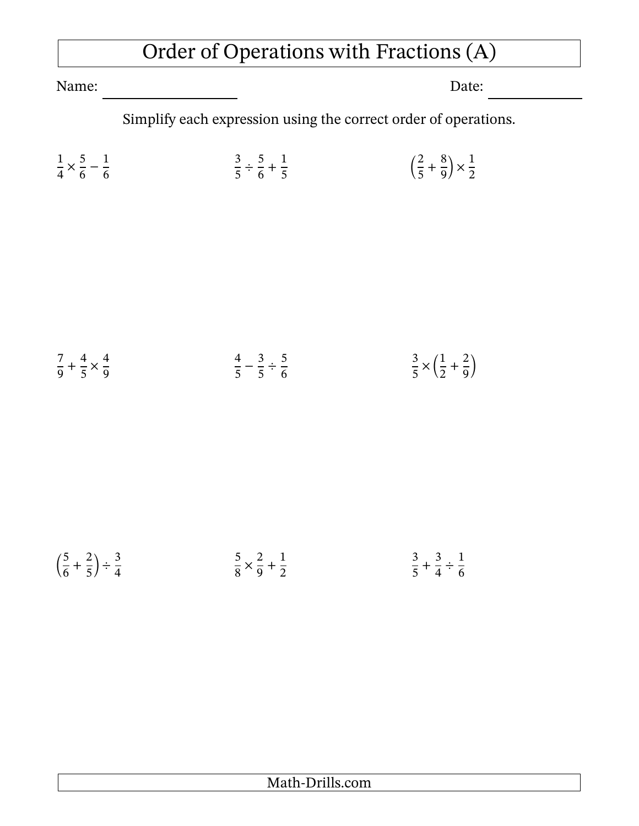## Order of Operations with Fractions (A)

Name: Date:

Simplify each expression using the correct order of operations.

| $1 \quad 5 \quad 1$                            |  | $3 \quad 5 \quad 1$                       |  | $\left(\frac{2}{5}+\frac{8}{9}\right)\times\frac{1}{2}$ |  |
|------------------------------------------------|--|-------------------------------------------|--|---------------------------------------------------------|--|
| $\frac{1}{4} \times \frac{1}{6} - \frac{1}{6}$ |  | $\frac{1}{5}$ $\frac{1}{6}$ $\frac{1}{5}$ |  |                                                         |  |

$$
\frac{7}{9} + \frac{4}{5} \times \frac{4}{9}
$$
\n
$$
\frac{4}{5} - \frac{3}{5} \div \frac{5}{6}
$$
\n
$$
\frac{3}{5} \times \left(\frac{1}{2} + \frac{2}{9}\right)
$$

$$
\left(\frac{5}{6} + \frac{2}{5}\right) \div \frac{3}{4}
$$
\n
$$
\frac{5}{8} \times \frac{2}{9} + \frac{1}{2}
$$
\n
$$
\frac{3}{5} + \frac{3}{4} \div \frac{1}{6}
$$